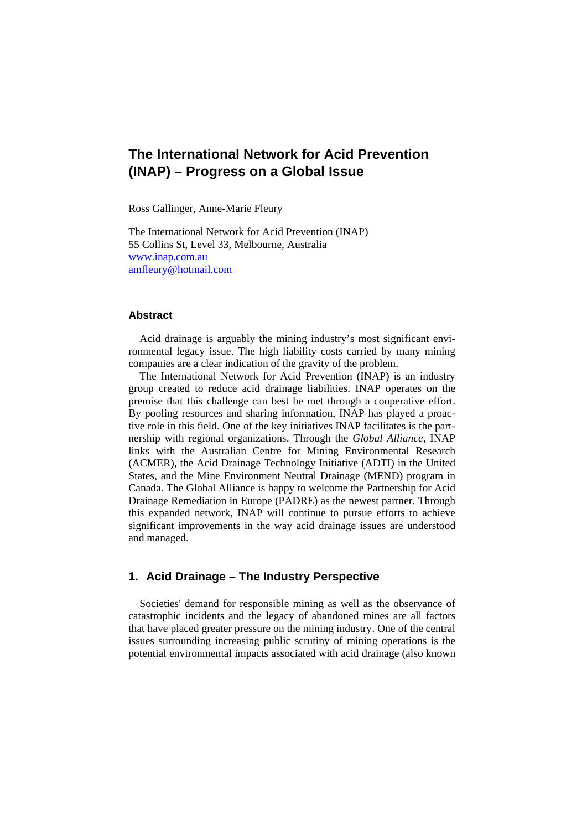# **The International Network for Acid Prevention (INAP) – Progress on a Global Issue**

Ross Gallinger, Anne-Marie Fleury

The International Network for Acid Prevention (INAP) 55 Collins St, Level 33, Melbourne, Australia www.inap.com.au amfleury@hotmail.com

#### **Abstract**

Acid drainage is arguably the mining industry's most significant environmental legacy issue. The high liability costs carried by many mining companies are a clear indication of the gravity of the problem.

The International Network for Acid Prevention (INAP) is an industry group created to reduce acid drainage liabilities. INAP operates on the premise that this challenge can best be met through a cooperative effort. By pooling resources and sharing information, INAP has played a proactive role in this field. One of the key initiatives INAP facilitates is the partnership with regional organizations. Through the *Global Alliance,* INAP links with the Australian Centre for Mining Environmental Research (ACMER), the Acid Drainage Technology Initiative (ADTI) in the United States, and the Mine Environment Neutral Drainage (MEND) program in Canada. The Global Alliance is happy to welcome the Partnership for Acid Drainage Remediation in Europe (PADRE) as the newest partner. Through this expanded network, INAP will continue to pursue efforts to achieve significant improvements in the way acid drainage issues are understood and managed.

### **1. Acid Drainage – The Industry Perspective**

Societies' demand for responsible mining as well as the observance of catastrophic incidents and the legacy of abandoned mines are all factors that have placed greater pressure on the mining industry. One of the central issues surrounding increasing public scrutiny of mining operations is the potential environmental impacts associated with acid drainage (also known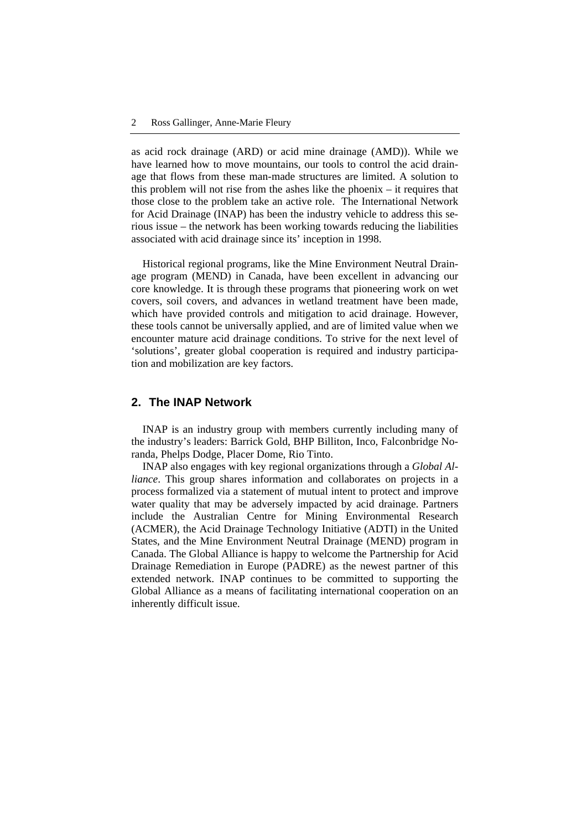as acid rock drainage (ARD) or acid mine drainage (AMD)). While we have learned how to move mountains, our tools to control the acid drainage that flows from these man-made structures are limited. A solution to this problem will not rise from the ashes like the phoenix – it requires that those close to the problem take an active role. The International Network for Acid Drainage (INAP) has been the industry vehicle to address this serious issue – the network has been working towards reducing the liabilities associated with acid drainage since its' inception in 1998.

Historical regional programs, like the Mine Environment Neutral Drainage program (MEND) in Canada, have been excellent in advancing our core knowledge. It is through these programs that pioneering work on wet covers, soil covers, and advances in wetland treatment have been made, which have provided controls and mitigation to acid drainage. However, these tools cannot be universally applied, and are of limited value when we encounter mature acid drainage conditions. To strive for the next level of 'solutions', greater global cooperation is required and industry participation and mobilization are key factors.

### **2. The INAP Network**

INAP is an industry group with members currently including many of the industry's leaders: Barrick Gold, BHP Billiton, Inco, Falconbridge Noranda, Phelps Dodge, Placer Dome, Rio Tinto.

INAP also engages with key regional organizations through a *Global Alliance*. This group shares information and collaborates on projects in a process formalized via a statement of mutual intent to protect and improve water quality that may be adversely impacted by acid drainage. Partners include the Australian Centre for Mining Environmental Research (ACMER), the Acid Drainage Technology Initiative (ADTI) in the United States, and the Mine Environment Neutral Drainage (MEND) program in Canada. The Global Alliance is happy to welcome the Partnership for Acid Drainage Remediation in Europe (PADRE) as the newest partner of this extended network. INAP continues to be committed to supporting the Global Alliance as a means of facilitating international cooperation on an inherently difficult issue.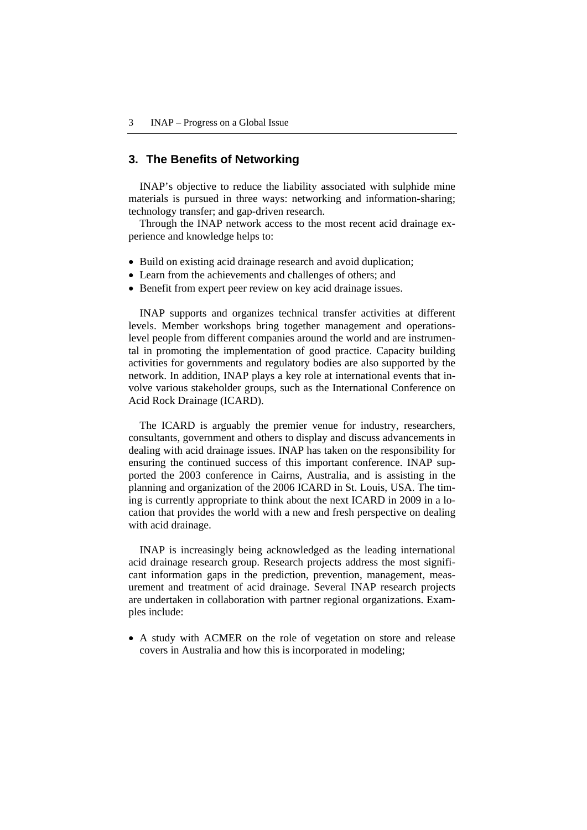#### **3. The Benefits of Networking**

INAP's objective to reduce the liability associated with sulphide mine materials is pursued in three ways: networking and information-sharing; technology transfer; and gap-driven research.

Through the INAP network access to the most recent acid drainage experience and knowledge helps to:

- Build on existing acid drainage research and avoid duplication;
- Learn from the achievements and challenges of others; and
- Benefit from expert peer review on key acid drainage issues.

INAP supports and organizes technical transfer activities at different levels. Member workshops bring together management and operationslevel people from different companies around the world and are instrumental in promoting the implementation of good practice. Capacity building activities for governments and regulatory bodies are also supported by the network. In addition, INAP plays a key role at international events that involve various stakeholder groups, such as the International Conference on Acid Rock Drainage (ICARD).

The ICARD is arguably the premier venue for industry, researchers, consultants, government and others to display and discuss advancements in dealing with acid drainage issues. INAP has taken on the responsibility for ensuring the continued success of this important conference. INAP supported the 2003 conference in Cairns, Australia, and is assisting in the planning and organization of the 2006 ICARD in St. Louis, USA. The timing is currently appropriate to think about the next ICARD in 2009 in a location that provides the world with a new and fresh perspective on dealing with acid drainage.

INAP is increasingly being acknowledged as the leading international acid drainage research group. Research projects address the most significant information gaps in the prediction, prevention, management, measurement and treatment of acid drainage. Several INAP research projects are undertaken in collaboration with partner regional organizations. Examples include:

• A study with ACMER on the role of vegetation on store and release covers in Australia and how this is incorporated in modeling;